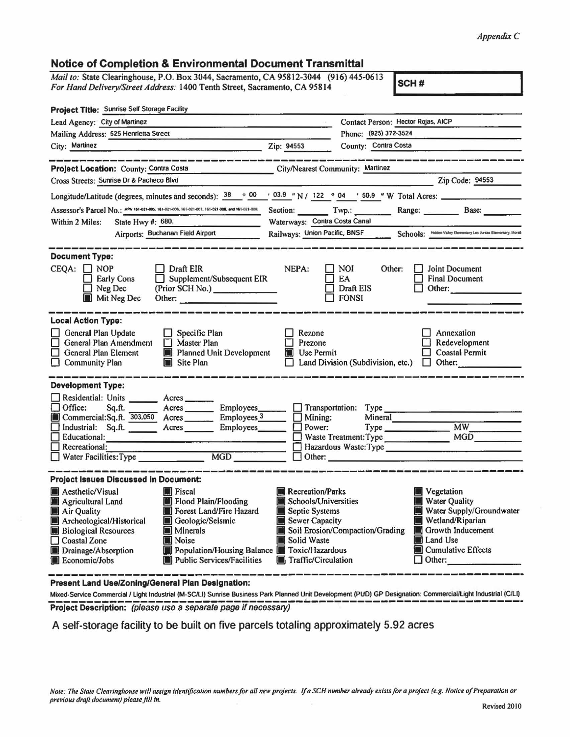## Appendix C

## Notice of Completion & Environmental Document Transmittal

Mail to: State Clearinghouse, P.O. Box 3044, Sacramento, CA 95812-3044 (916) 445-0613 SCH# For Hand Delivery/Street Address: 1400 Tenth Street, Sacramento, CA 95814

| Project Title: Sunrise Self Storage Facility                                                                                                                                                                                                                                                                                                                                                        |                                                                                                                                                              |                                                                                                                                                                            |  |  |  |  |
|-----------------------------------------------------------------------------------------------------------------------------------------------------------------------------------------------------------------------------------------------------------------------------------------------------------------------------------------------------------------------------------------------------|--------------------------------------------------------------------------------------------------------------------------------------------------------------|----------------------------------------------------------------------------------------------------------------------------------------------------------------------------|--|--|--|--|
| Lead Agency: City of Martinez                                                                                                                                                                                                                                                                                                                                                                       |                                                                                                                                                              | Contact Person: Hector Rojas, AICP                                                                                                                                         |  |  |  |  |
| Mailing Address: 525 Henrietta Street                                                                                                                                                                                                                                                                                                                                                               | Phone: (925) 372-3524                                                                                                                                        |                                                                                                                                                                            |  |  |  |  |
| City: Martinez                                                                                                                                                                                                                                                                                                                                                                                      | County: Contra Costa<br>Zip: 94553                                                                                                                           |                                                                                                                                                                            |  |  |  |  |
|                                                                                                                                                                                                                                                                                                                                                                                                     |                                                                                                                                                              |                                                                                                                                                                            |  |  |  |  |
| Project Location: County; Contra Costa                                                                                                                                                                                                                                                                                                                                                              | City/Nearest Community: Martinez                                                                                                                             |                                                                                                                                                                            |  |  |  |  |
| Cross Streets: Sunrise Dr & Pacheco Blvd                                                                                                                                                                                                                                                                                                                                                            |                                                                                                                                                              | Zip Code: 94553                                                                                                                                                            |  |  |  |  |
| Longitude/Latitude (degrees, minutes and seconds): $\frac{38}{900}$ $\frac{0.000}{1000}$ $\frac{0.0000}{1000}$ $\frac{0.0000}{1000}$ $\frac{0.00000}{1000}$ $\frac{0.000000}{1000}$ $\frac{0.00000000}{1000}$ $\frac{0.00000000000}{1000}$ $\frac{0.000000000000$                                                                                                                                   |                                                                                                                                                              |                                                                                                                                                                            |  |  |  |  |
| Assessor's Parcel No.: APN 151-021-005. 161-021-006, 161-021-007, 161-021-008. and 161-021-009.                                                                                                                                                                                                                                                                                                     | Section: Twp.: Range: Base:                                                                                                                                  |                                                                                                                                                                            |  |  |  |  |
| Within 2 Miles:<br>State Hwy #: 680.                                                                                                                                                                                                                                                                                                                                                                | Waterways: Contra Costa Canal                                                                                                                                |                                                                                                                                                                            |  |  |  |  |
| Airports: Buchanan Field Airport                                                                                                                                                                                                                                                                                                                                                                    | Railways: Union Pacific, BNSF Schools: Histori Valley Elementary Lis Artisa Elementary, Morel                                                                |                                                                                                                                                                            |  |  |  |  |
| <b>Document Type:</b><br>$CEQA: \Box NOP$<br>Draft EIR<br><b>Early Cons</b><br>$\Box$ Supplement/Subsequent EIR<br>$\Box$ Neg Dec<br>(Prior SCH No.)<br>Mit Neg Dec<br>Other:                                                                                                                                                                                                                       | NEPA:<br><b>NOI</b><br>Other:<br>$\Box$ ea<br>$\Box$ Draft EIS<br>$\Box$ fonsi                                                                               | Joint Document<br><b>Final Document</b><br>Other:                                                                                                                          |  |  |  |  |
| <b>Local Action Type:</b><br>General Plan Update<br>$\Box$ Specific Plan<br>General Plan Amendment<br><b>Naster Plan</b><br>$\Box$ General Plan Element<br>Planned Unit Development<br>$\Box$ Community Plan<br>Site Plan                                                                                                                                                                           | Rezone<br>$\Box$ Prezone<br>Use Permit<br>Land Division (Subdivision, etc.) $\Box$ Other:                                                                    | Annexation<br>Redevelopment<br>$\Box$ Coastal Permit                                                                                                                       |  |  |  |  |
| <b>Development Type:</b><br>Residential: Units ________ Acres _______<br>Office: Sq.ft. Acres Employees Employees<br>Industrial: Sq.ft. Acres Employees<br>$\Box$ Educational:<br>$\Box$ Recreational:<br>Water Facilities: Type<br><b>MGD</b>                                                                                                                                                      | $\Box$ Transportation: Type<br>$\blacksquare$ Mining:<br>Mineral Mineral<br>$\Box$ Power:<br>Waste Treatment: Type<br>Hazardous Waste: Type<br>$\Box$ Other: | MW<br>MGD                                                                                                                                                                  |  |  |  |  |
| <b>Project Issues Discussed in Document:</b>                                                                                                                                                                                                                                                                                                                                                        |                                                                                                                                                              |                                                                                                                                                                            |  |  |  |  |
| Aesthetic/Visual<br><b>Excal</b><br>Flood Plain/Flooding<br>Agricultural Land<br>Forest Land/Fire Hazard<br>Air Quality<br>Archeological/Historical<br>Geologic/Seismic<br><b>Biological Resources</b><br><b>Minerals</b><br>Coastal Zone<br>Noise<br>Ш<br>Drainage/Absorption<br>Population/Housing Balance Toxic/Hazardous<br><b>Public Services/Facilities</b><br><b>Execution</b> Economic/Jobs | Recreation/Parks<br>Schools/Universities<br>Septic Systems<br>Sewer Capacity<br>Soil Erosion/Compaction/Grading<br>Solid Waste<br>Traffic/Circulation        | <b>Vegetation</b><br><b>Water Quality</b><br>Water Supply/Groundwater<br>Wetland/Riparian<br>Growth Inducement<br><b>E</b> Land Use<br>Cumulative Effects<br>$\Box$ Other: |  |  |  |  |
| Present Land Use/Zoning/General Plan Designation:                                                                                                                                                                                                                                                                                                                                                   |                                                                                                                                                              |                                                                                                                                                                            |  |  |  |  |

Mixed-Service Commercial / Light Industrial (M-SC/LI) Sunrise Business Park Planned Unit Development (PUD) GP Designation: Commercial/Light Industrial (C/LI) Project Description: (please use a separate page if necessary)

A self-storage facility to be built on five parcels totaling approximately 5.92 acres